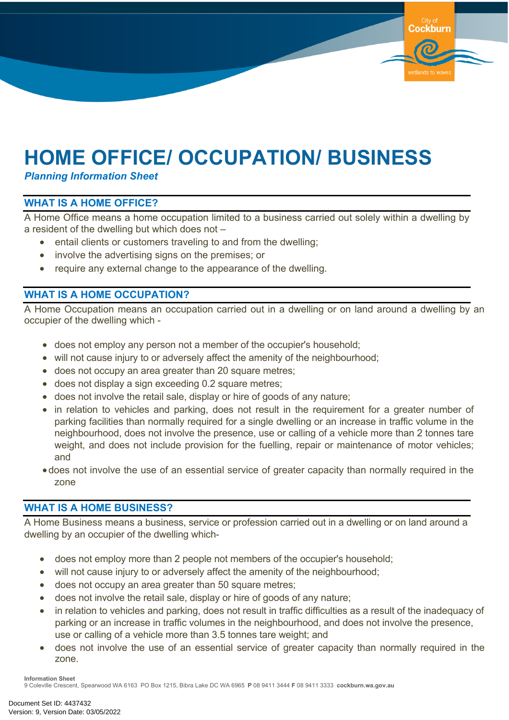# **HOME OFFICE/ OCCUPATION/ BUSINESS**

*Planning Information Sheet*

### **WHAT IS A HOME OFFICE?**

A Home Office means a home occupation limited to a business carried out solely within a dwelling by a resident of the dwelling but which does not –

Cockburn

wetlands to wa

- entail clients or customers traveling to and from the dwelling;
- involve the advertising signs on the premises; or
- require any external change to the appearance of the dwelling.

#### **WHAT IS A HOME OCCUPATION?**

A Home Occupation means an occupation carried out in a dwelling or on land around a dwelling by an occupier of the dwelling which -

- does not employ any person not a member of the occupier's household;
- will not cause injury to or adversely affect the amenity of the neighbourhood;
- does not occupy an area greater than 20 square metres;
- does not display a sign exceeding 0.2 square metres;
- does not involve the retail sale, display or hire of goods of any nature;
- in relation to vehicles and parking, does not result in the requirement for a greater number of parking facilities than normally required for a single dwelling or an increase in traffic volume in the neighbourhood, does not involve the presence, use or calling of a vehicle more than 2 tonnes tare weight, and does not include provision for the fuelling, repair or maintenance of motor vehicles; and
- does not involve the use of an essential service of greater capacity than normally required in the zone

#### **WHAT IS A HOME BUSINESS?**

A Home Business means a business, service or profession carried out in a dwelling or on land around a dwelling by an occupier of the dwelling which-

- does not employ more than 2 people not members of the occupier's household;
- will not cause injury to or adversely affect the amenity of the neighbourhood;
- does not occupy an area greater than 50 square metres;
- does not involve the retail sale, display or hire of goods of any nature;
- in relation to vehicles and parking, does not result in traffic difficulties as a result of the inadequacy of parking or an increase in traffic volumes in the neighbourhood, and does not involve the presence, use or calling of a vehicle more than 3.5 tonnes tare weight; and
- does not involve the use of an essential service of greater capacity than normally required in the zone.

**Information Sheet**

9 Coleville Crescent, Spearwood WA 6163 PO Box 1215, Bibra Lake DC WA 6965 **P** 08 9411 3444 **F** 08 9411 3333 **cockburn.wa.gov.au**